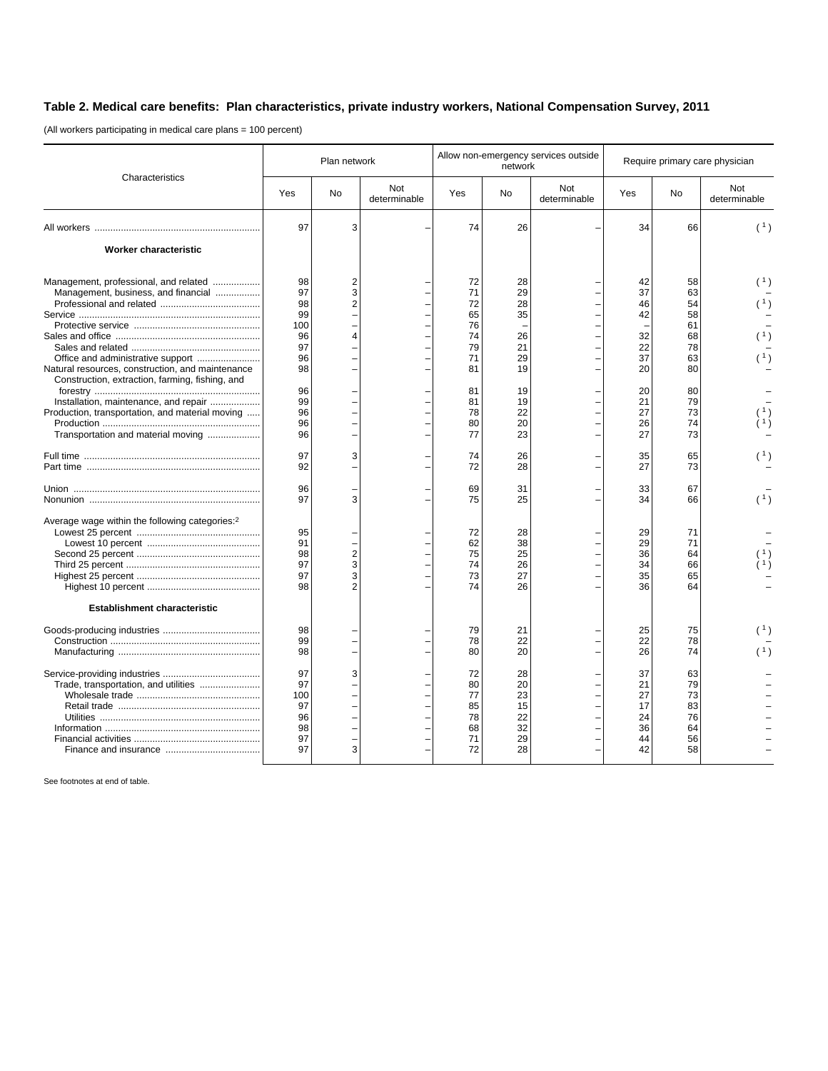## **Table 2. Medical care benefits: Plan characteristics, private industry workers, National Compensation Survey, 2011**

(All workers participating in medical care plans = 100 percent)

| Characteristics                                                                                                                | Plan network                                  |                                            |                     | Allow non-emergency services outside<br>network |                                              |                     | Require primary care physician               |                                              |                     |
|--------------------------------------------------------------------------------------------------------------------------------|-----------------------------------------------|--------------------------------------------|---------------------|-------------------------------------------------|----------------------------------------------|---------------------|----------------------------------------------|----------------------------------------------|---------------------|
|                                                                                                                                | Yes                                           | <b>No</b>                                  | Not<br>determinable | Yes                                             | <b>No</b>                                    | Not<br>determinable | Yes                                          | No                                           | Not<br>determinable |
|                                                                                                                                | 97                                            | 3                                          |                     | 74                                              | 26                                           |                     | 34                                           | 66                                           | (1)                 |
| <b>Worker characteristic</b>                                                                                                   |                                               |                                            |                     |                                                 |                                              |                     |                                              |                                              |                     |
| Management, professional, and related<br>Management, business, and financial                                                   | 98<br>97<br>98<br>99<br>100<br>96<br>97<br>96 | $\overline{2}$<br>3<br>$\overline{2}$<br>4 |                     | 72<br>71<br>72<br>65<br>76<br>74<br>79<br>71    | 28<br>29<br>28<br>35<br>26<br>21<br>29       |                     | 42<br>37<br>46<br>42<br>32<br>22<br>37       | 58<br>63<br>54<br>58<br>61<br>68<br>78<br>63 | (1)<br>(1)<br>(1)   |
| Natural resources, construction, and maintenance<br>Construction, extraction, farming, fishing, and                            | 98                                            |                                            |                     | 81                                              | 19                                           |                     | 20                                           | 80                                           |                     |
| Installation, maintenance, and repair<br>Production, transportation, and material moving<br>Transportation and material moving | 96<br>99<br>96<br>96<br>96                    |                                            |                     | 81<br>81<br>78<br>80<br>77                      | 19<br>19<br>22<br>20<br>23                   |                     | 20<br>21<br>27<br>26<br>27                   | 80<br>79<br>73<br>74<br>73                   |                     |
|                                                                                                                                | 97<br>92                                      | 3                                          |                     | 74<br>72                                        | 26<br>28                                     |                     | 35<br>27                                     | 65<br>73                                     |                     |
|                                                                                                                                | 96<br>97                                      | 3                                          |                     | 69<br>75                                        | 31<br>25                                     |                     | 33<br>34                                     | 67<br>66                                     | (1)                 |
| Average wage within the following categories: <sup>2</sup>                                                                     | 95<br>91<br>98<br>97<br>97<br>98              | $\overline{c}$<br>3<br>3<br>$\overline{2}$ |                     | 72<br>62<br>75<br>74<br>73<br>74                | 28<br>38<br>25<br>26<br>27<br>26             |                     | 29<br>29<br>36<br>34<br>35<br>36             | 71<br>71<br>64<br>66<br>65<br>64             |                     |
| <b>Establishment characteristic</b>                                                                                            |                                               |                                            |                     |                                                 |                                              |                     |                                              |                                              |                     |
|                                                                                                                                | 98<br>99<br>98                                |                                            |                     | 79<br>78<br>80                                  | 21<br>22<br>20                               |                     | 25<br>22<br>26                               | 75<br>78<br>74                               | (1)<br>(1)          |
| Trade, transportation, and utilities                                                                                           | 97<br>97<br>100<br>97<br>96<br>98<br>97<br>97 | 3<br>3                                     |                     | 72<br>80<br>77<br>85<br>78<br>68<br>71<br>72    | 28<br>20<br>23<br>15<br>22<br>32<br>29<br>28 |                     | 37<br>21<br>27<br>17<br>24<br>36<br>44<br>42 | 63<br>79<br>73<br>83<br>76<br>64<br>56<br>58 |                     |

See footnotes at end of table.